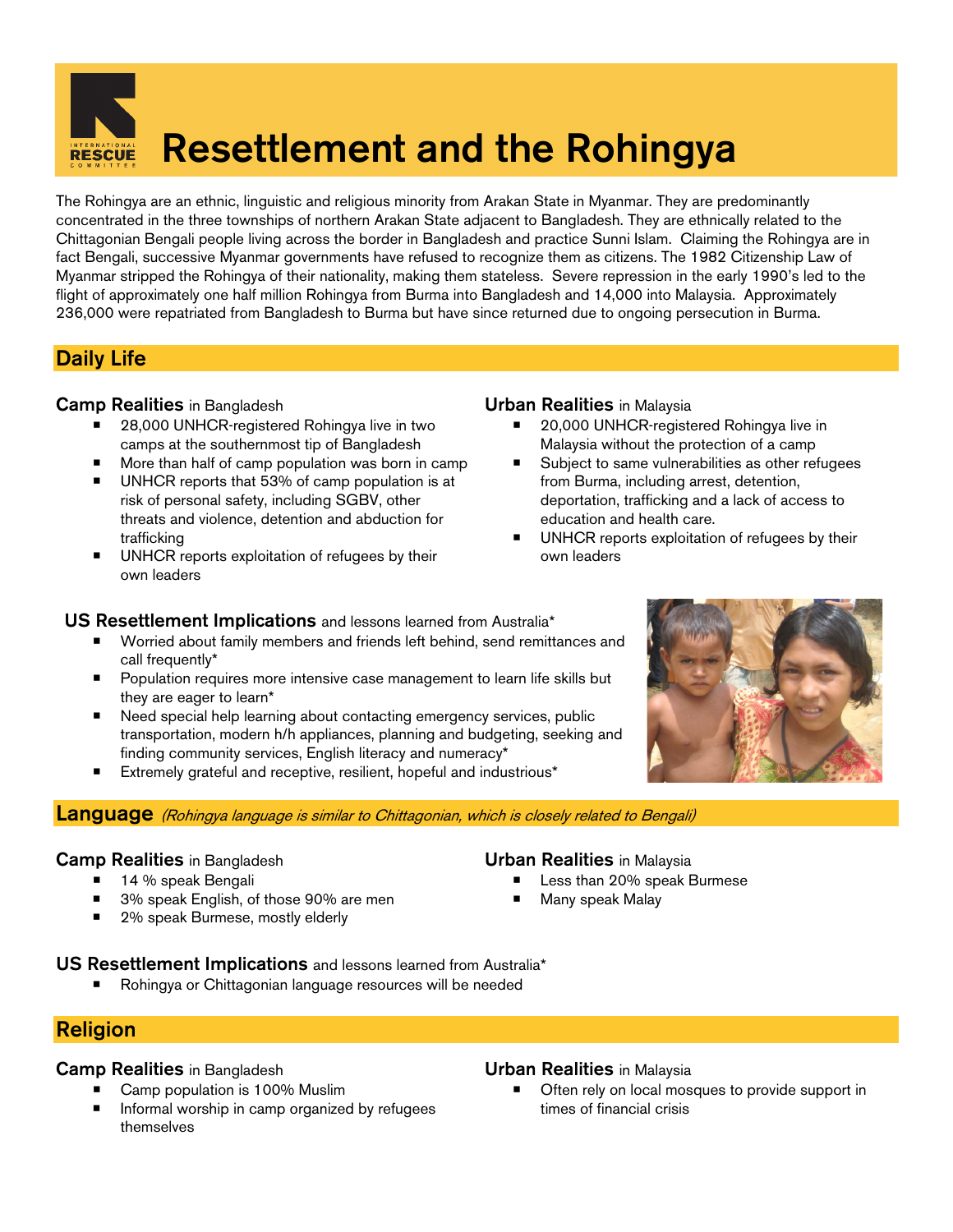# **Resettlement and the Rohingya**

The Rohingya are an ethnic, linguistic and religious minority from Arakan State in Myanmar. They are predominantly concentrated in the three townships of northern Arakan State adjacent to Bangladesh. They are ethnically related to the Chittagonian Bengali people living across the border in Bangladesh and practice Sunni Islam. Claiming the Rohingya are in fact Bengali, successive Myanmar governments have refused to recognize them as citizens. The 1982 Citizenship Law of Myanmar stripped the Rohingya of their nationality, making them stateless. Severe repression in the early 1990's led to the flight of approximately one half million Rohingya from Burma into Bangladesh and 14,000 into Malaysia. Approximately 236,000 were repatriated from Bangladesh to Burma but have since returned due to ongoing persecution in Burma.

# **Daily Life**

#### **Camp Realities** in Bangladesh **Urban Realities** in Malaysia

- 28,000 UNHCR-registered Rohingya live in two camps at the southernmost tip of Bangladesh
- More than half of camp population was born in camp
- UNHCR reports that 53% of camp population is at risk of personal safety, including SGBV, other threats and violence, detention and abduction for trafficking
- **UNHCR** reports exploitation of refugees by their own leaders

- 20,000 UNHCR-registered Rohingya live in Malaysia without the protection of a camp
- Subject to same vulnerabilities as other refugees from Burma, including arrest, detention, deportation, trafficking and a lack of access to education and health care.
- UNHCR reports exploitation of refugees by their own leaders

### **US Resettlement Implications** and lessons learned from Australia\*

- Worried about family members and friends left behind, send remittances and call frequently\*
- **Population requires more intensive case management to learn life skills but** they are eager to learn\*
- Need special help learning about contacting emergency services, public transportation, modern h/h appliances, planning and budgeting, seeking and finding community services, English literacy and numeracy\*
- Extremely grateful and receptive, resilient, hopeful and industrious\*



#### **Language** (Rohingya language is similar to Chittagonian, which is closely related to Bengali)

#### **Camp Realities** in Bangladesh **Urban Realities** in Malaysia

- 14 % speak Bengali
- 3% speak English, of those 90% are men
- 2% speak Burmese, mostly elderly

- Less than 20% speak Burmese
- Many speak Malay
- **US Resettlement Implications** and lessons learned from Australia\*
	- Rohingya or Chittagonian language resources will be needed

# **Religion**

#### **Camp Realities** in Bangladesh **Urban Realities** in Malaysia

- Camp population is 100% Muslim
- **Informal worship in camp organized by refugees** themselves

 Often rely on local mosques to provide support in times of financial crisis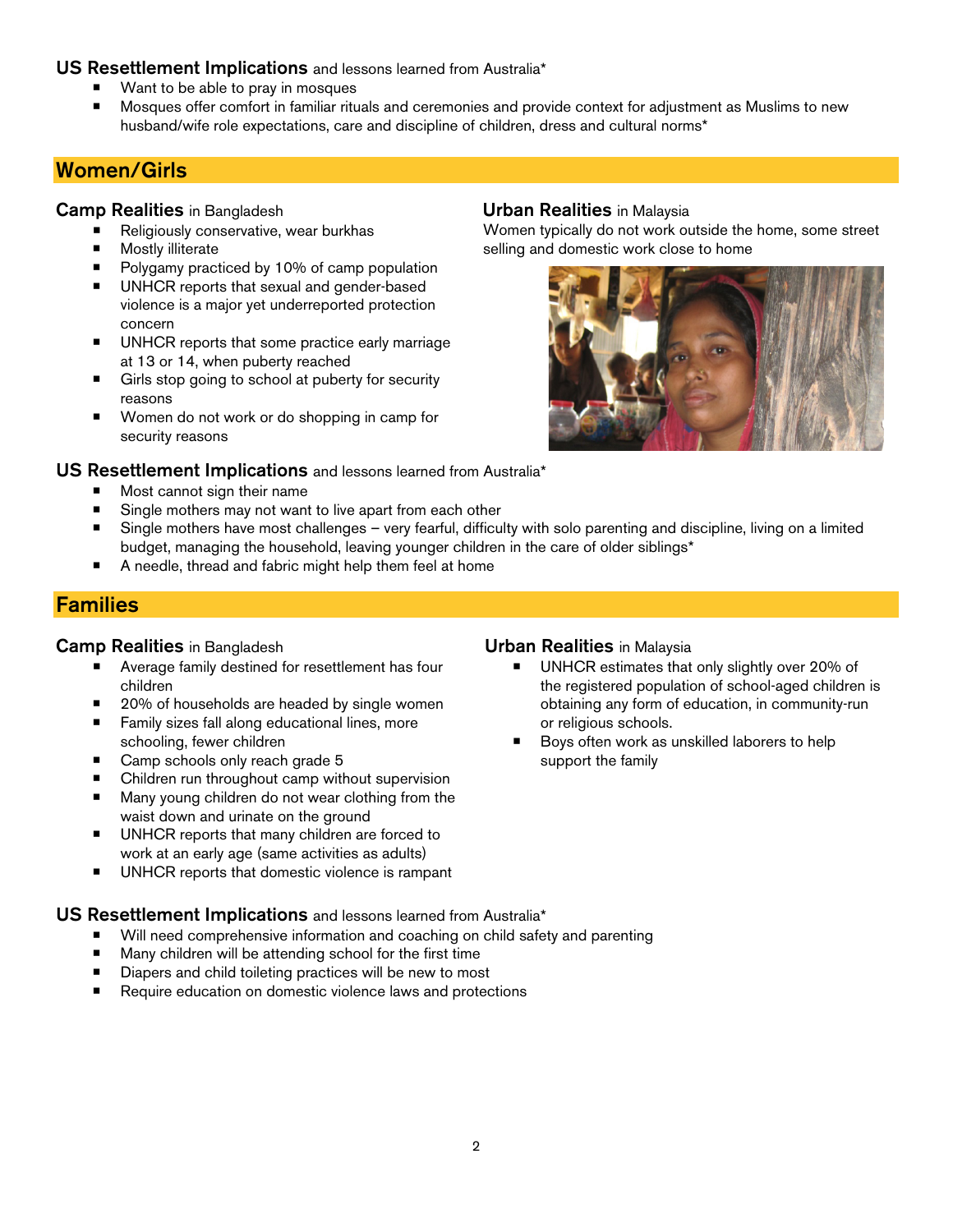### **US Resettlement Implications** and lessons learned from Australia\*

- Want to be able to pray in mosques
- Mosques offer comfort in familiar rituals and ceremonies and provide context for adjustment as Muslims to new husband/wife role expectations, care and discipline of children, dress and cultural norms\*

# **Women/Girls**

### **Camp Realities** in Bangladesh **Urban Realities** in Malaysia

- Religiously conservative, wear burkhas<br>■ Mostly illiterate
- Mostly illiterate
- Polygamy practiced by 10% of camp population
- **UNHCR** reports that sexual and gender-based violence is a major yet underreported protection concern
- **UNHCR** reports that some practice early marriage at 13 or 14, when puberty reached
- Girls stop going to school at puberty for security reasons
- Women do not work or do shopping in camp for security reasons

Women typically do not work outside the home, some street selling and domestic work close to home



### **US Resettlement Implications** and lessons learned from Australia\*

- Most cannot sign their name
- Single mothers may not want to live apart from each other
- Single mothers have most challenges very fearful, difficulty with solo parenting and discipline, living on a limited budget, managing the household, leaving younger children in the care of older siblings\*
- A needle, thread and fabric might help them feel at home

# **Families**

### **Camp Realities** in Bangladesh **Urban Realities** in Malaysia

- Average family destined for resettlement has four children
- 20% of households are headed by single women
- **Family sizes fall along educational lines, more** schooling, fewer children
- Camp schools only reach grade 5
- Children run throughout camp without supervision
- Many young children do not wear clothing from the waist down and urinate on the ground
- UNHCR reports that many children are forced to work at an early age (same activities as adults)
- **UNHCR** reports that domestic violence is rampant

### **UNHCR** estimates that only slightly over 20% of

- the registered population of school-aged children is obtaining any form of education, in community-run or religious schools.
- Boys often work as unskilled laborers to help support the family

### **US Resettlement Implications** and lessons learned from Australia\*

- Will need comprehensive information and coaching on child safety and parenting
- $\blacksquare$  Many children will be attending school for the first time
- Diapers and child toileting practices will be new to most
- Require education on domestic violence laws and protections